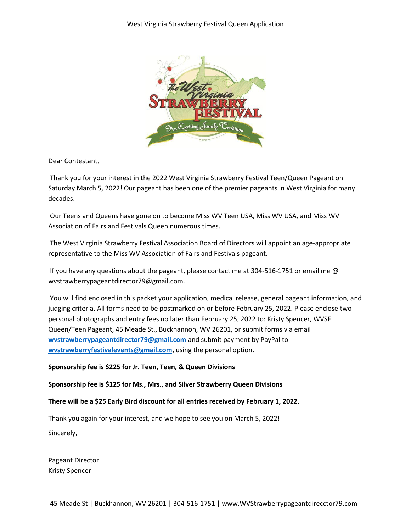

Dear Contestant,

Thank you for your interest in the 2022 West Virginia Strawberry Festival Teen/Queen Pageant on Saturday March 5, 2022! Our pageant has been one of the premier pageants in West Virginia for many decades.

Our Teens and Queens have gone on to become Miss WV Teen USA, Miss WV USA, and Miss WV Association of Fairs and Festivals Queen numerous times.

The West Virginia Strawberry Festival Association Board of Directors will appoint an age-appropriate representative to the Miss WV Association of Fairs and Festivals pageant.

If you have any questions about the pageant, please contact me at 304-516-1751 or email me  $\omega$ wvstrawberrypageantdirector79@gmail.com.

You will find enclosed in this packet your application, medical release, general pageant information, and judging criteria**.** All forms need to be postmarked on or before February 25, 2022. Please enclose two personal photographs and entry fees no later than February 25, 2022 to: Kristy Spencer, WVSF Queen/Teen Pageant, 45 Meade St., Buckhannon, WV 26201, or submit forms via email **[wvstrawberrypageantdirector79@gmail.com](mailto:wvstrawberrypageantdirector79@gmail.com)** and submit payment by PayPal to **[wvstrawberryfestivalevents@gmail.com,](mailto:wvstrawberryfestivalevents@gmail.com)** using the personal option.

### **Sponsorship fee is \$225 for Jr. Teen, Teen, & Queen Divisions**

### **Sponsorship fee is \$125 for Ms., Mrs., and Silver Strawberry Queen Divisions**

#### **There will be a \$25 Early Bird discount for all entries received by February 1, 2022.**

Thank you again for your interest, and we hope to see you on March 5, 2022! Sincerely,

Pageant Director Kristy Spencer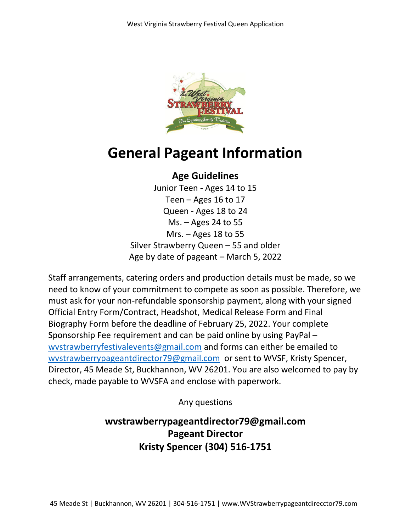

# **General Pageant Information**

### **Age Guidelines**

Junior Teen - Ages 14 to 15 Teen – Ages 16 to 17 Queen - Ages 18 to 24 Ms. – Ages 24 to 55 Mrs. – Ages 18 to 55 Silver Strawberry Queen – 55 and older Age by date of pageant – March 5, 2022

Staff arrangements, catering orders and production details must be made, so we need to know of your commitment to compete as soon as possible. Therefore, we must ask for your non-refundable sponsorship payment, along with your signed Official Entry Form/Contract, Headshot, Medical Release Form and Final Biography Form before the deadline of February 25, 2022. Your complete Sponsorship Fee requirement and can be paid online by using PayPal – [wvstrawberryfestivalevents@gmail.com](mailto:wvstrawberryfestivalevents@gmail.com) and forms can either be emailed to [wvstrawberrypageantdirector79@gmail.com](mailto:wvstrawberrypageantdirector79@gmail.com) or sent to WVSF, Kristy Spencer, Director, 45 Meade St, Buckhannon, WV 26201. You are also welcomed to pay by check, made payable to WVSFA and enclose with paperwork.

Any questions

**wvstrawberrypageantdirector79@gmail.com Pageant Director Kristy Spencer (304) 516-1751**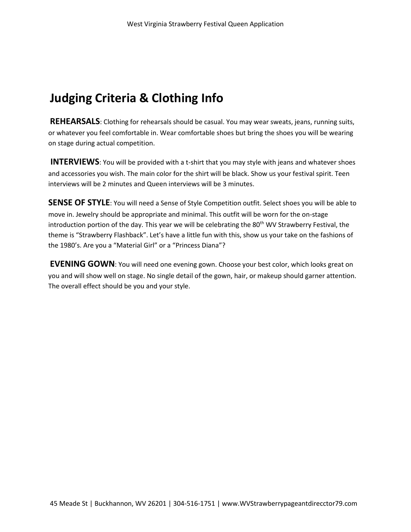## **Judging Criteria & Clothing Info**

**REHEARSALS**: Clothing for rehearsals should be casual. You may wear sweats, jeans, running suits, or whatever you feel comfortable in. Wear comfortable shoes but bring the shoes you will be wearing on stage during actual competition.

**INTERVIEWS:** You will be provided with a t-shirt that you may style with jeans and whatever shoes and accessories you wish. The main color for the shirt will be black. Show us your festival spirit. Teen interviews will be 2 minutes and Queen interviews will be 3 minutes.

**SENSE OF STYLE:** You will need a Sense of Style Competition outfit. Select shoes you will be able to move in. Jewelry should be appropriate and minimal. This outfit will be worn for the on-stage introduction portion of the day. This year we will be celebrating the  $80<sup>th</sup>$  WV Strawberry Festival, the theme is "Strawberry Flashback". Let's have a little fun with this, show us your take on the fashions of the 1980's. Are you a "Material Girl" or a "Princess Diana"?

**EVENING GOWN**: You will need one evening gown. Choose your best color, which looks great on you and will show well on stage. No single detail of the gown, hair, or makeup should garner attention. The overall effect should be you and your style.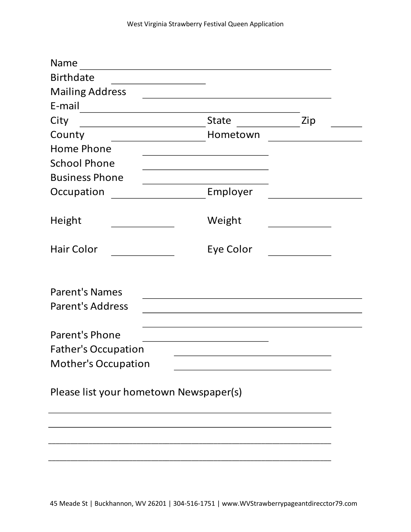| Name                                   |              |     |
|----------------------------------------|--------------|-----|
| <b>Birthdate</b>                       |              |     |
| <b>Mailing Address</b>                 |              |     |
| E-mail                                 |              |     |
| City                                   | <b>State</b> | Zip |
| County                                 | Hometown     |     |
| <b>Home Phone</b>                      |              |     |
| <b>School Phone</b>                    |              |     |
| <b>Business Phone</b>                  |              |     |
| Occupation                             | Employer     |     |
| Height                                 | Weight       |     |
| <b>Hair Color</b>                      | Eye Color    |     |
| <b>Parent's Names</b>                  |              |     |
| <b>Parent's Address</b>                |              |     |
| Parent's Phone                         |              |     |
| <b>Father's Occupation</b>             |              |     |
| <b>Mother's Occupation</b>             |              |     |
| Please list your hometown Newspaper(s) |              |     |
|                                        |              |     |
|                                        |              |     |
|                                        |              |     |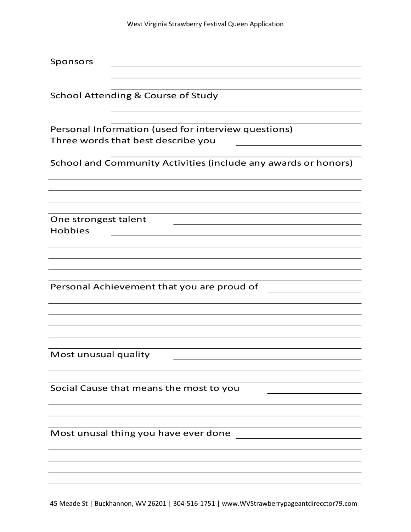| Sponsors                                                                                  |
|-------------------------------------------------------------------------------------------|
| <b>School Attending &amp; Course of Study</b>                                             |
| Personal Information (used for interview questions)<br>Three words that best describe you |
| School and Community Activities (include any awards or honors)                            |
|                                                                                           |
| One strongest talent<br><b>Hobbies</b>                                                    |
| Personal Achievement that you are proud of                                                |
| Most unusual quality                                                                      |
| Social Cause that means the most to you                                                   |
| Most unusal thing you have ever done                                                      |
|                                                                                           |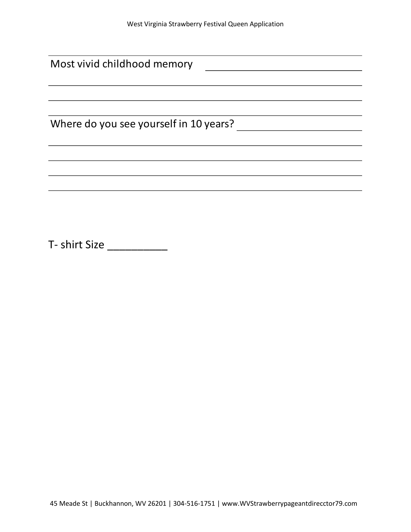| Most vivid childhood memory            |
|----------------------------------------|
|                                        |
|                                        |
|                                        |
| Where do you see yourself in 10 years? |
|                                        |
|                                        |
|                                        |
|                                        |

T- shirt Size \_\_\_\_\_\_\_\_\_\_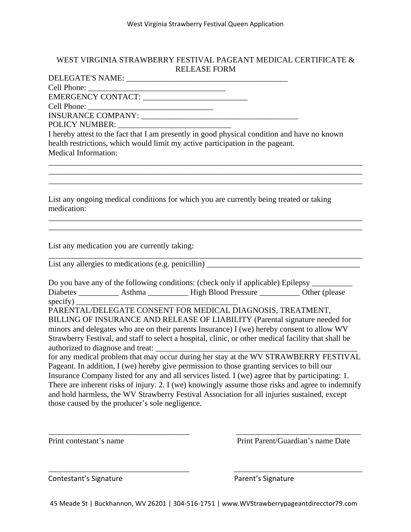### WEST VIRGINIA STRAWBERRY FESTIVAL PAGEANT MEDICAL CERTIFICATE & RELEASE FORM

DELEGATE'S NAME: \_\_\_\_\_\_\_\_\_\_\_\_\_\_\_\_\_\_\_\_\_\_\_\_\_\_\_\_\_\_\_\_\_\_\_\_\_\_\_\_ Cell Phone: \_\_\_\_\_\_\_\_\_\_\_\_\_\_\_\_\_\_\_\_\_\_\_\_\_\_\_\_\_\_\_\_\_\_ EMERGENCY CONTACT: \_\_\_\_\_\_\_\_\_\_\_\_\_\_\_\_\_\_\_\_\_\_\_\_\_\_ Cell Phone: INSURANCE COMPANY: \_\_\_\_\_\_\_\_\_\_\_\_\_\_\_\_\_\_\_\_\_\_\_\_\_\_\_\_\_\_\_\_\_\_\_\_\_\_\_ POLICY NUMBER: \_\_\_\_\_\_\_\_\_\_\_\_\_\_\_\_\_\_\_\_\_\_\_\_\_\_\_\_

I hereby attest to the fact that I am presently in good physical condition and have no known health restrictions, which would limit my active participation in the pageant. Medical Information:

\_\_\_\_\_\_\_\_\_\_\_\_\_\_\_\_\_\_\_\_\_\_\_\_\_\_\_\_\_\_\_\_\_\_\_\_\_\_\_\_\_\_\_\_\_\_\_\_\_\_\_\_\_\_\_\_\_\_\_\_\_\_\_\_\_\_\_\_\_\_\_\_\_\_\_\_\_\_ \_\_\_\_\_\_\_\_\_\_\_\_\_\_\_\_\_\_\_\_\_\_\_\_\_\_\_\_\_\_\_\_\_\_\_\_\_\_\_\_\_\_\_\_\_\_\_\_\_\_\_\_\_\_\_\_\_\_\_\_\_\_\_\_\_\_\_\_\_\_\_\_\_\_\_\_\_\_ \_\_\_\_\_\_\_\_\_\_\_\_\_\_\_\_\_\_\_\_\_\_\_\_\_\_\_\_\_\_\_\_\_\_\_\_\_\_\_\_\_\_\_\_\_\_\_\_\_\_\_\_\_\_\_\_\_\_\_\_\_\_\_\_\_\_\_\_\_\_\_\_\_\_\_\_\_\_

\_\_\_\_\_\_\_\_\_\_\_\_\_\_\_\_\_\_\_\_\_\_\_\_\_\_\_\_\_\_\_\_\_\_\_\_\_\_\_\_\_\_\_\_\_\_\_\_\_\_\_\_\_\_\_\_\_\_\_\_\_\_\_\_\_\_\_\_\_\_\_\_\_\_\_\_\_\_ \_\_\_\_\_\_\_\_\_\_\_\_\_\_\_\_\_\_\_\_\_\_\_\_\_\_\_\_\_\_\_\_\_\_\_\_\_\_\_\_\_\_\_\_\_\_\_\_\_\_\_\_\_\_\_\_\_\_\_\_\_\_\_\_\_\_\_\_\_\_\_\_\_\_\_\_\_\_

List any ongoing medical conditions for which you are currently being treated or taking medication:

List any medication you are currently taking:

\_\_\_\_\_\_\_\_\_\_\_\_\_\_\_\_\_\_\_\_\_\_\_\_\_\_\_\_\_\_\_\_\_\_\_\_\_\_\_\_\_\_\_\_\_\_\_\_\_\_\_\_\_\_\_\_\_\_\_\_\_\_\_\_\_\_\_\_\_\_\_\_\_\_\_\_\_\_ List any allergies to medications (e.g. penicillin)

Do you have any of the following conditions: (check only if applicable) Epilepsy Diabetes \_\_\_\_\_\_\_\_\_\_ Asthma \_\_\_\_\_\_\_\_\_\_ High Blood Pressure \_\_\_\_\_\_\_\_\_\_ Other (please  $specify)$ 

PARENTAL/DELEGATE CONSENT FOR MEDICAL DIAGNOSIS, TREATMENT, BILLING OF INSURANCE AND RELEASE OF LIABILITY (Parental signature needed for minors and delegates who are on their parents Insurance) I (we) hereby consent to allow WV Strawberry Festival, and staff to select <sup>a</sup> hospital, clinic, or other medical facility that shall be authorized to diagnose and treat:

for any medical problem that may occur during her stay at the WV STRAWBERRY FESTIVAL Pageant. In addition, I (we) hereby give permission to those granting services to bill our Insurance Company listed for any and all services listed. I (we) agree that by participating: 1. There are inherent risks of injury. 2. I (we) knowingly assume those risks and agree to indemnify and hold harmless, the WV Strawberry Festival Association for all injuries sustained, excep<sup>t</sup> those caused by the producer's sole negligence.

\_\_\_\_\_\_\_\_\_\_\_\_\_\_\_\_\_\_\_\_\_\_\_\_\_\_\_\_\_\_\_\_\_\_\_ \_\_\_\_\_\_\_\_\_\_\_\_\_\_\_\_\_\_\_\_\_\_\_\_\_\_\_\_\_\_\_

\_\_\_\_\_\_\_\_\_\_\_\_\_\_\_\_\_\_\_\_\_\_\_\_\_\_\_\_\_\_\_\_\_\_\_ \_\_\_\_\_\_\_\_\_\_\_\_\_\_\_\_\_\_\_\_\_\_\_\_\_\_\_\_\_\_\_\_

Print contestant's name<br>
Print Parent/Guardian's name Date

Contestant's Signature **Parent's Signature** Parent's Signature